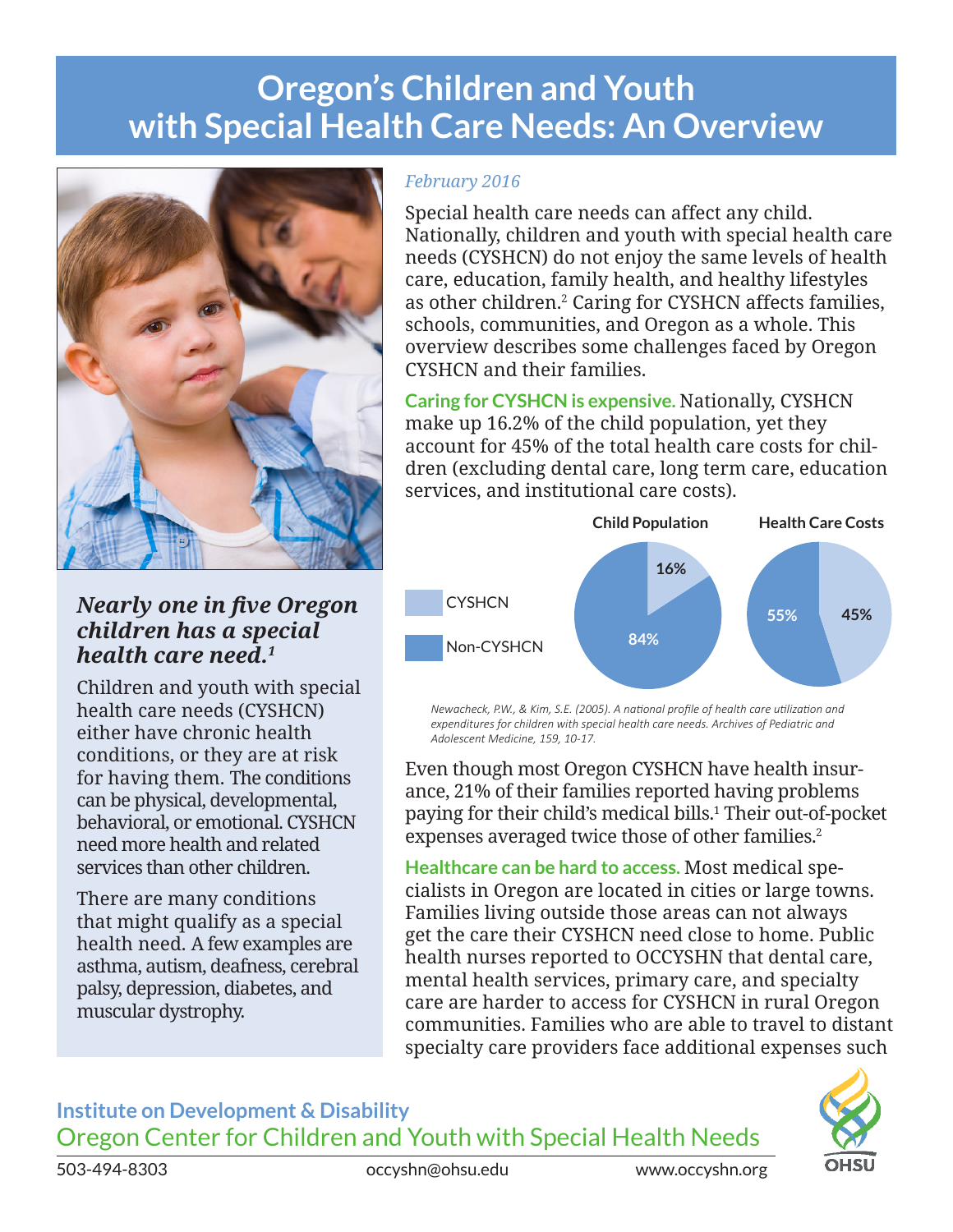## **Oregon's Children and Youth with Special Health Care Needs: An Overview**



## *Nearly one in five Oregon children has a special health care need.1*

Children and youth with special health care needs (CYSHCN) either have chronic health conditions, or they are at risk for having them. The conditions can be physical, developmental, behavioral, or emotional. CYSHCN need more health and related services than other children.

There are many conditions that might qualify as a special health need. A few examples are asthma, autism, deafness, cerebral palsy, depression, diabetes, and muscular dystrophy.

## *February 2016*

Special health care needs can affect any child. Nationally, children and youth with special health care needs (CYSHCN) do not enjoy the same levels of health care, education, family health, and healthy lifestyles as other children.<sup>2</sup> Caring for CYSHCN affects families, schools, communities, and Oregon as a whole. This overview describes some challenges faced by Oregon CYSHCN and their families.

**Caring for CYSHCN is expensive.** Nationally, CYSHCN make up 16.2% of the child population, yet they account for 45% of the total health care costs for children (excluding dental care, long term care, education services, and institutional care costs).



*Newacheck, P.W., & Kim, S.E. (2005). A national profile of health care utilization and expenditures for children with special health care needs. Archives of Pediatric and Adolescent Medicine, 159, 10-17.*

Even though most Oregon CYSHCN have health insurance, 21% of their families reported having problems paying for their child's medical bills.1 Their out-of-pocket expenses averaged twice those of other families.<sup>2</sup>

**Healthcare can be hard to access.** Most medical specialists in Oregon are located in cities or large towns. Families living outside those areas can not always get the care their CYSHCN need close to home. Public health nurses reported to OCCYSHN that dental care, mental health services, primary care, and specialty care are harder to access for CYSHCN in rural Oregon communities. Families who are able to travel to distant specialty care providers face additional expenses such

**Institute on Development & Disability** Oregon Center for Children and Youth with Special Health Needs